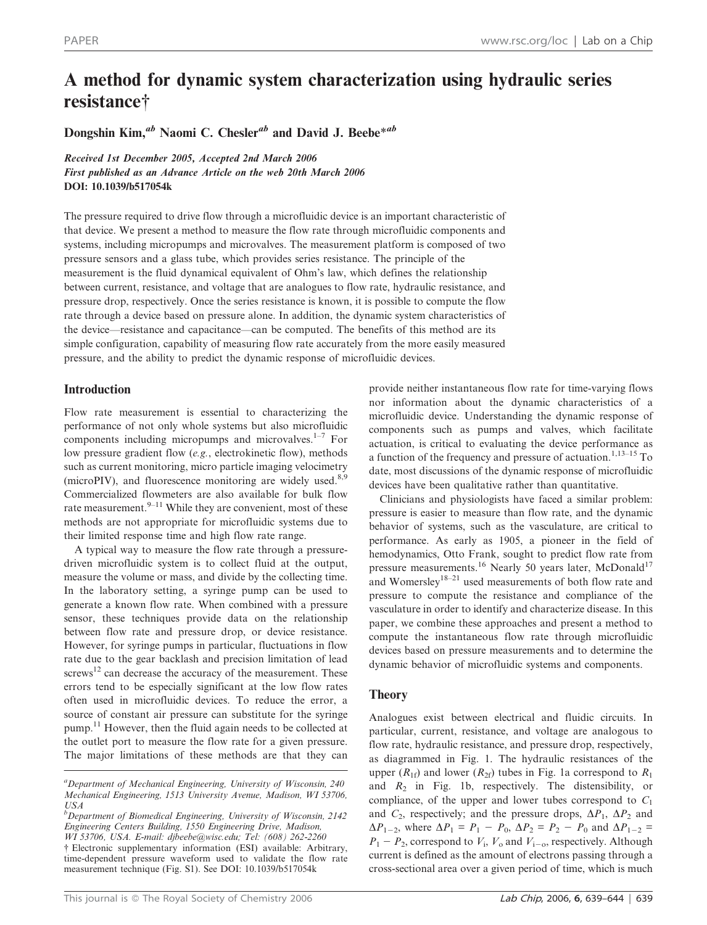# A method for dynamic system characterization using hydraulic series resistance<sup>†</sup>

Dongshin Kim,<sup>ab</sup> Naomi C. Chesler<sup>ab</sup> and David J. Beebe<sup>\*ab</sup>

Received 1st December 2005, Accepted 2nd March 2006 First published as an Advance Article on the web 20th March 2006 DOI: 10.1039/b517054k

The pressure required to drive flow through a microfluidic device is an important characteristic of that device. We present a method to measure the flow rate through microfluidic components and systems, including micropumps and microvalves. The measurement platform is composed of two pressure sensors and a glass tube, which provides series resistance. The principle of the measurement is the fluid dynamical equivalent of Ohm's law, which defines the relationship between current, resistance, and voltage that are analogues to flow rate, hydraulic resistance, and pressure drop, respectively. Once the series resistance is known, it is possible to compute the flow rate through a device based on pressure alone. In addition, the dynamic system characteristics of the device—resistance and capacitance—can be computed. The benefits of this method are its simple configuration, capability of measuring flow rate accurately from the more easily measured pressure, and the ability to predict the dynamic response of microfluidic devices.

## Introduction

Flow rate measurement is essential to characterizing the performance of not only whole systems but also microfluidic components including micropumps and microvalves.<sup>1-7</sup> For low pressure gradient flow (e.g., electrokinetic flow), methods such as current monitoring, micro particle imaging velocimetry (microPIV), and fluorescence monitoring are widely used. $8,9$ Commercialized flowmeters are also available for bulk flow rate measurement.<sup>9–11</sup> While they are convenient, most of these methods are not appropriate for microfluidic systems due to their limited response time and high flow rate range.

A typical way to measure the flow rate through a pressuredriven microfluidic system is to collect fluid at the output, measure the volume or mass, and divide by the collecting time. In the laboratory setting, a syringe pump can be used to generate a known flow rate. When combined with a pressure sensor, these techniques provide data on the relationship between flow rate and pressure drop, or device resistance. However, for syringe pumps in particular, fluctuations in flow rate due to the gear backlash and precision limitation of lead screws<sup>12</sup> can decrease the accuracy of the measurement. These errors tend to be especially significant at the low flow rates often used in microfluidic devices. To reduce the error, a source of constant air pressure can substitute for the syringe pump.<sup>11</sup> However, then the fluid again needs to be collected at the outlet port to measure the flow rate for a given pressure. The major limitations of these methods are that they can provide neither instantaneous flow rate for time-varying flows nor information about the dynamic characteristics of a microfluidic device. Understanding the dynamic response of components such as pumps and valves, which facilitate actuation, is critical to evaluating the device performance as a function of the frequency and pressure of actuation.<sup>1,13–15</sup> To date, most discussions of the dynamic response of microfluidic devices have been qualitative rather than quantitative.

Clinicians and physiologists have faced a similar problem: pressure is easier to measure than flow rate, and the dynamic behavior of systems, such as the vasculature, are critical to performance. As early as 1905, a pioneer in the field of hemodynamics, Otto Frank, sought to predict flow rate from pressure measurements.<sup>16</sup> Nearly 50 years later, McDonald<sup>17</sup> and Womersley<sup>18–21</sup> used measurements of both flow rate and pressure to compute the resistance and compliance of the vasculature in order to identify and characterize disease. In this paper, we combine these approaches and present a method to compute the instantaneous flow rate through microfluidic devices based on pressure measurements and to determine the dynamic behavior of microfluidic systems and components.

## Theory

Analogues exist between electrical and fluidic circuits. In particular, current, resistance, and voltage are analogous to flow rate, hydraulic resistance, and pressure drop, respectively, as diagrammed in Fig. 1. The hydraulic resistances of the upper  $(R_{1f})$  and lower  $(R_{2f})$  tubes in Fig. 1a correspond to  $R_1$ and  $R_2$  in Fig. 1b, respectively. The distensibility, or compliance, of the upper and lower tubes correspond to  $C_1$ and  $C_2$ , respectively; and the pressure drops,  $\Delta P_1$ ,  $\Delta P_2$  and  $\Delta P_{1-2}$ , where  $\Delta P_1 = P_1 - P_0$ ,  $\Delta P_2 = P_2 - P_0$  and  $\Delta P_{1-2} =$  $P_1 - P_2$ , correspond to  $V_i$ ,  $V_o$  and  $V_{i-o}$ , respectively. Although current is defined as the amount of electrons passing through a cross-sectional area over a given period of time, which is much

<sup>&</sup>lt;sup>a</sup> Department of Mechanical Engineering, University of Wisconsin, 240 Mechanical Engineering, 1513 University Avenue, Madison, WI 53706, USA

<sup>&</sup>lt;sup>b</sup>Department of Biomedical Engineering, University of Wisconsin, 2142 Engineering Centers Building, 1550 Engineering Drive, Madison, WI 53706, USA. E-mail: djbeebe@wisc.edu; Tel: (608) 262-2260 { Electronic supplementary information (ESI) available: Arbitrary, time-dependent pressure waveform used to validate the flow rate measurement technique (Fig. S1). See DOI: 10.1039/b517054k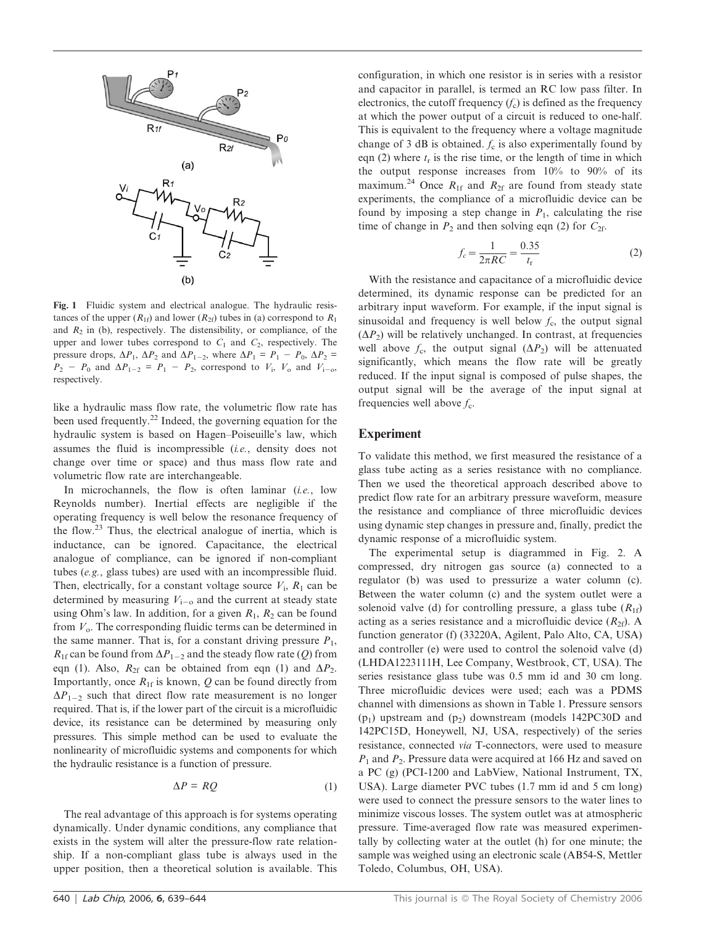

Fig. 1 Fluidic system and electrical analogue. The hydraulic resistances of the upper  $(R_{1f})$  and lower  $(R_{2f})$  tubes in (a) correspond to  $R_1$ and  $R_2$  in (b), respectively. The distensibility, or compliance, of the upper and lower tubes correspond to  $C_1$  and  $C_2$ , respectively. The pressure drops,  $\Delta P_1$ ,  $\Delta P_2$  and  $\Delta P_{1-2}$ , where  $\Delta P_1 = P_1 - P_0$ ,  $\Delta P_2 =$  $P_2 - P_0$  and  $\Delta P_{1-2} = P_1 - P_2$ , correspond to  $V_i$ ,  $V_o$  and  $V_{i-0}$ , respectively.

like a hydraulic mass flow rate, the volumetric flow rate has been used frequently.<sup>22</sup> Indeed, the governing equation for the hydraulic system is based on Hagen–Poiseuille's law, which assumes the fluid is incompressible (i.e., density does not change over time or space) and thus mass flow rate and volumetric flow rate are interchangeable.

In microchannels, the flow is often laminar *(i.e.*, low Reynolds number). Inertial effects are negligible if the operating frequency is well below the resonance frequency of the flow.<sup>23</sup> Thus, the electrical analogue of inertia, which is inductance, can be ignored. Capacitance, the electrical analogue of compliance, can be ignored if non-compliant tubes (e.g., glass tubes) are used with an incompressible fluid. Then, electrically, for a constant voltage source  $V_i$ ,  $R_1$  can be determined by measuring  $V_{i-0}$  and the current at steady state using Ohm's law. In addition, for a given  $R_1$ ,  $R_2$  can be found from  $V_0$ . The corresponding fluidic terms can be determined in the same manner. That is, for a constant driving pressure  $P_1$ ,  $R_{1f}$  can be found from  $\Delta P_{1-2}$  and the steady flow rate (Q) from eqn (1). Also,  $R_{2f}$  can be obtained from eqn (1) and  $\Delta P_2$ . Importantly, once  $R_{1f}$  is known,  $Q$  can be found directly from  $\Delta P_{1-2}$  such that direct flow rate measurement is no longer required. That is, if the lower part of the circuit is a microfluidic device, its resistance can be determined by measuring only pressures. This simple method can be used to evaluate the nonlinearity of microfluidic systems and components for which the hydraulic resistance is a function of pressure.

$$
\Delta P = RQ \tag{1}
$$

The real advantage of this approach is for systems operating dynamically. Under dynamic conditions, any compliance that exists in the system will alter the pressure-flow rate relationship. If a non-compliant glass tube is always used in the upper position, then a theoretical solution is available. This

configuration, in which one resistor is in series with a resistor and capacitor in parallel, is termed an RC low pass filter. In electronics, the cutoff frequency  $(f_c)$  is defined as the frequency at which the power output of a circuit is reduced to one-half. This is equivalent to the frequency where a voltage magnitude change of 3 dB is obtained.  $f_c$  is also experimentally found by eqn (2) where  $t_r$  is the rise time, or the length of time in which the output response increases from 10% to 90% of its maximum.<sup>24</sup> Once  $R_{1f}$  and  $R_{2f}$  are found from steady state experiments, the compliance of a microfluidic device can be found by imposing a step change in  $P_1$ , calculating the rise time of change in  $P_2$  and then solving eqn (2) for  $C_{2f}$ .

$$
f_c = \frac{1}{2\pi RC} = \frac{0.35}{t_{\rm r}}\tag{2}
$$

With the resistance and capacitance of a microfluidic device determined, its dynamic response can be predicted for an arbitrary input waveform. For example, if the input signal is sinusoidal and frequency is well below  $f_c$ , the output signal  $(\Delta P_2)$  will be relatively unchanged. In contrast, at frequencies well above  $f_c$ , the output signal  $(\Delta P_2)$  will be attenuated significantly, which means the flow rate will be greatly reduced. If the input signal is composed of pulse shapes, the output signal will be the average of the input signal at frequencies well above  $f_c$ .

#### Experiment

To validate this method, we first measured the resistance of a glass tube acting as a series resistance with no compliance. Then we used the theoretical approach described above to predict flow rate for an arbitrary pressure waveform, measure the resistance and compliance of three microfluidic devices using dynamic step changes in pressure and, finally, predict the dynamic response of a microfluidic system.

The experimental setup is diagrammed in Fig. 2. A compressed, dry nitrogen gas source (a) connected to a regulator (b) was used to pressurize a water column (c). Between the water column (c) and the system outlet were a solenoid valve (d) for controlling pressure, a glass tube  $(R_{1f})$ acting as a series resistance and a microfluidic device  $(R_{2f})$ . A function generator (f) (33220A, Agilent, Palo Alto, CA, USA) and controller (e) were used to control the solenoid valve (d) (LHDA1223111H, Lee Company, Westbrook, CT, USA). The series resistance glass tube was 0.5 mm id and 30 cm long. Three microfluidic devices were used; each was a PDMS channel with dimensions as shown in Table 1. Pressure sensors  $(p_1)$  upstream and  $(p_2)$  downstream (models 142PC30D and 142PC15D, Honeywell, NJ, USA, respectively) of the series resistance, connected via T-connectors, were used to measure  $P_1$  and  $P_2$ . Pressure data were acquired at 166 Hz and saved on a PC (g) (PCI-1200 and LabView, National Instrument, TX, USA). Large diameter PVC tubes (1.7 mm id and 5 cm long) were used to connect the pressure sensors to the water lines to minimize viscous losses. The system outlet was at atmospheric pressure. Time-averaged flow rate was measured experimentally by collecting water at the outlet (h) for one minute; the sample was weighed using an electronic scale (AB54-S, Mettler Toledo, Columbus, OH, USA).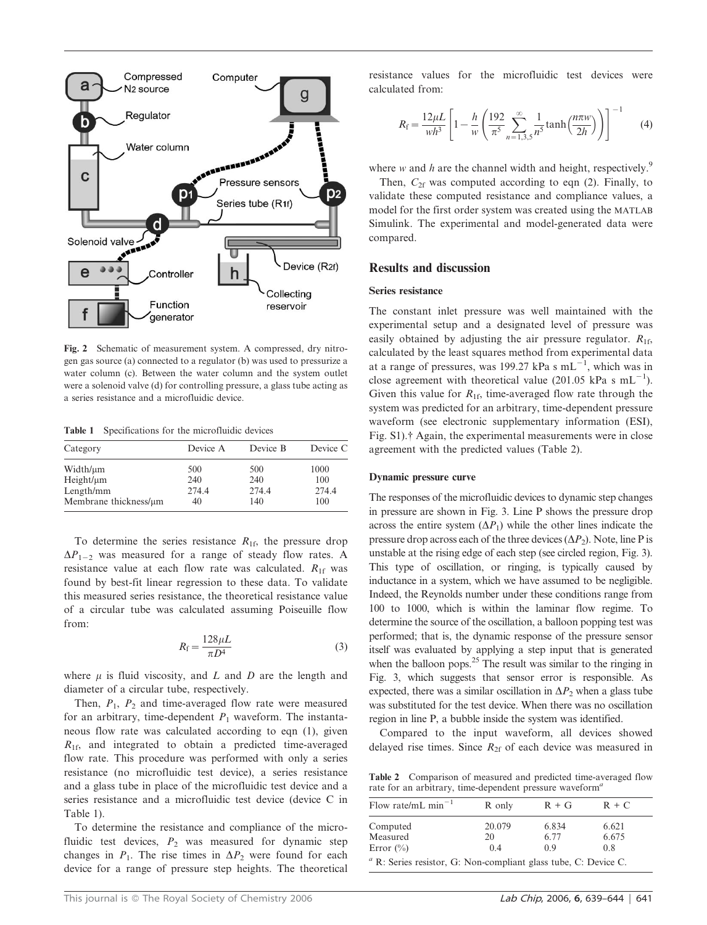

Fig. 2 Schematic of measurement system. A compressed, dry nitrogen gas source (a) connected to a regulator (b) was used to pressurize a water column (c). Between the water column and the system outlet were a solenoid valve (d) for controlling pressure, a glass tube acting as a series resistance and a microfluidic device.

Table 1 Specifications for the microfluidic devices

| Category              | Device A | Device B | Device C |
|-----------------------|----------|----------|----------|
| Width/µm              | 500      | 500      | 1000     |
| $Height/\mu m$        | 240      | 240      | 100      |
| Length/mm             | 274.4    | 274.4    | 274.4    |
| Membrane thickness/µm | 40       | 140      | 100      |

To determine the series resistance  $R_{1f}$ , the pressure drop  $\Delta P_{1-2}$  was measured for a range of steady flow rates. A resistance value at each flow rate was calculated.  $R_{1f}$  was found by best-fit linear regression to these data. To validate this measured series resistance, the theoretical resistance value of a circular tube was calculated assuming Poiseuille flow from:

$$
R_{\rm f} = \frac{128\mu L}{\pi D^4} \tag{3}
$$

where  $\mu$  is fluid viscosity, and L and D are the length and diameter of a circular tube, respectively.

Then,  $P_1$ ,  $P_2$  and time-averaged flow rate were measured for an arbitrary, time-dependent  $P_1$  waveform. The instantaneous flow rate was calculated according to eqn (1), given  $R_{1f}$ , and integrated to obtain a predicted time-averaged flow rate. This procedure was performed with only a series resistance (no microfluidic test device), a series resistance and a glass tube in place of the microfluidic test device and a series resistance and a microfluidic test device (device C in Table 1).

To determine the resistance and compliance of the microfluidic test devices,  $P_2$  was measured for dynamic step changes in  $P_1$ . The rise times in  $\Delta P_2$  were found for each device for a range of pressure step heights. The theoretical

resistance values for the microfluidic test devices were calculated from:

$$
R_{\rm f} = \frac{12\mu L}{wh^3} \left[ 1 - \frac{h}{w} \left( \frac{192}{\pi^5} \sum_{n=1,3,5}^{\infty} \frac{1}{n^5} \tanh\left(\frac{n\pi w}{2h}\right) \right) \right]^{-1} \tag{4}
$$

where w and h are the channel width and height, respectively.<sup>9</sup>

Then,  $C_{2f}$  was computed according to eqn (2). Finally, to validate these computed resistance and compliance values, a model for the first order system was created using the MATLAB Simulink. The experimental and model-generated data were compared.

#### Results and discussion

#### Series resistance

The constant inlet pressure was well maintained with the experimental setup and a designated level of pressure was easily obtained by adjusting the air pressure regulator.  $R_{16}$ , calculated by the least squares method from experimental data at a range of pressures, was 199.27 kPa s  $mL^{-1}$ , which was in close agreement with theoretical value (201.05 kPa s  $mL^{-1}$ ). Given this value for  $R_{1f}$ , time-averaged flow rate through the system was predicted for an arbitrary, time-dependent pressure waveform (see electronic supplementary information (ESI), Fig. S1).<sup>†</sup> Again, the experimental measurements were in close agreement with the predicted values (Table 2).

#### Dynamic pressure curve

The responses of the microfluidic devices to dynamic step changes in pressure are shown in Fig. 3. Line P shows the pressure drop across the entire system  $(\Delta P_1)$  while the other lines indicate the pressure drop across each of the three devices  $(\Delta P_2)$ . Note, line P is unstable at the rising edge of each step (see circled region, Fig. 3). This type of oscillation, or ringing, is typically caused by inductance in a system, which we have assumed to be negligible. Indeed, the Reynolds number under these conditions range from 100 to 1000, which is within the laminar flow regime. To determine the source of the oscillation, a balloon popping test was performed; that is, the dynamic response of the pressure sensor itself was evaluated by applying a step input that is generated when the balloon pops. $^{25}$  The result was similar to the ringing in Fig. 3, which suggests that sensor error is responsible. As expected, there was a similar oscillation in  $\Delta P_2$  when a glass tube was substituted for the test device. When there was no oscillation region in line P, a bubble inside the system was identified.

Compared to the input waveform, all devices showed delayed rise times. Since  $R_{2f}$  of each device was measured in

Table 2 Comparison of measured and predicted time-averaged flow rate for an arbitrary, time-dependent pressure waveform<sup>4</sup>

| Flow rate/mL min <sup>-1</sup>                                         | R only       | $R + G$       | $R + C$        |  |
|------------------------------------------------------------------------|--------------|---------------|----------------|--|
| Computed<br>Measured                                                   | 20.079<br>20 | 6.834<br>6.77 | 6.621<br>6.675 |  |
| Error $(\% )$                                                          | 04           | 09            | 0.8            |  |
| $\alpha$ R: Series resistor, G: Non-compliant glass tube, C: Device C. |              |               |                |  |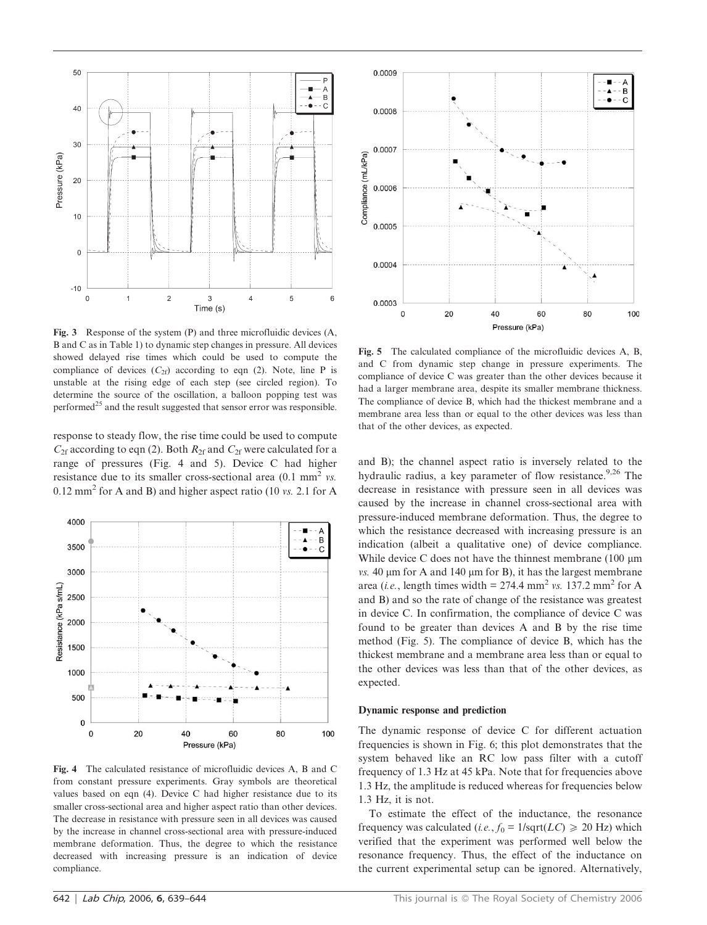

Fig. 3 Response of the system (P) and three microfluidic devices (A, B and C as in Table 1) to dynamic step changes in pressure. All devices showed delayed rise times which could be used to compute the compliance of devices  $(C_{2f})$  according to eqn (2). Note, line P is unstable at the rising edge of each step (see circled region). To determine the source of the oscillation, a balloon popping test was performed<sup>25</sup> and the result suggested that sensor error was responsible.

response to steady flow, the rise time could be used to compute  $C_{2f}$  according to eqn (2). Both  $R_{2f}$  and  $C_{2f}$  were calculated for a range of pressures (Fig. 4 and 5). Device C had higher resistance due to its smaller cross-sectional area  $(0.1 \text{ mm}^2 \text{ vs.})$  $0.12$  mm<sup>2</sup> for A and B) and higher aspect ratio (10 vs. 2.1 for A



Fig. 4 The calculated resistance of microfluidic devices A, B and C from constant pressure experiments. Gray symbols are theoretical values based on eqn (4). Device C had higher resistance due to its smaller cross-sectional area and higher aspect ratio than other devices. The decrease in resistance with pressure seen in all devices was caused by the increase in channel cross-sectional area with pressure-induced membrane deformation. Thus, the degree to which the resistance decreased with increasing pressure is an indication of device compliance.



Fig. 5 The calculated compliance of the microfluidic devices A, B, and C from dynamic step change in pressure experiments. The compliance of device C was greater than the other devices because it had a larger membrane area, despite its smaller membrane thickness. The compliance of device B, which had the thickest membrane and a membrane area less than or equal to the other devices was less than that of the other devices, as expected.

and B); the channel aspect ratio is inversely related to the hydraulic radius, a key parameter of flow resistance.<sup>9,26</sup> The decrease in resistance with pressure seen in all devices was caused by the increase in channel cross-sectional area with pressure-induced membrane deformation. Thus, the degree to which the resistance decreased with increasing pressure is an indication (albeit a qualitative one) of device compliance. While device C does not have the thinnest membrane  $(100 \mu m)$ vs. 40  $\mu$ m for A and 140  $\mu$ m for B), it has the largest membrane area (*i.e.*, length times width =  $274.4$  mm<sup>2</sup> vs. 137.2 mm<sup>2</sup> for A and B) and so the rate of change of the resistance was greatest in device C. In confirmation, the compliance of device C was found to be greater than devices A and B by the rise time method (Fig. 5). The compliance of device B, which has the thickest membrane and a membrane area less than or equal to the other devices was less than that of the other devices, as expected.

#### Dynamic response and prediction

The dynamic response of device C for different actuation frequencies is shown in Fig. 6; this plot demonstrates that the system behaved like an RC low pass filter with a cutoff frequency of 1.3 Hz at 45 kPa. Note that for frequencies above 1.3 Hz, the amplitude is reduced whereas for frequencies below 1.3 Hz, it is not.

To estimate the effect of the inductance, the resonance frequency was calculated (*i.e.*,  $f_0 = 1/\text{sqrt}(LC) \ge 20 \text{ Hz}$ ) which verified that the experiment was performed well below the resonance frequency. Thus, the effect of the inductance on the current experimental setup can be ignored. Alternatively,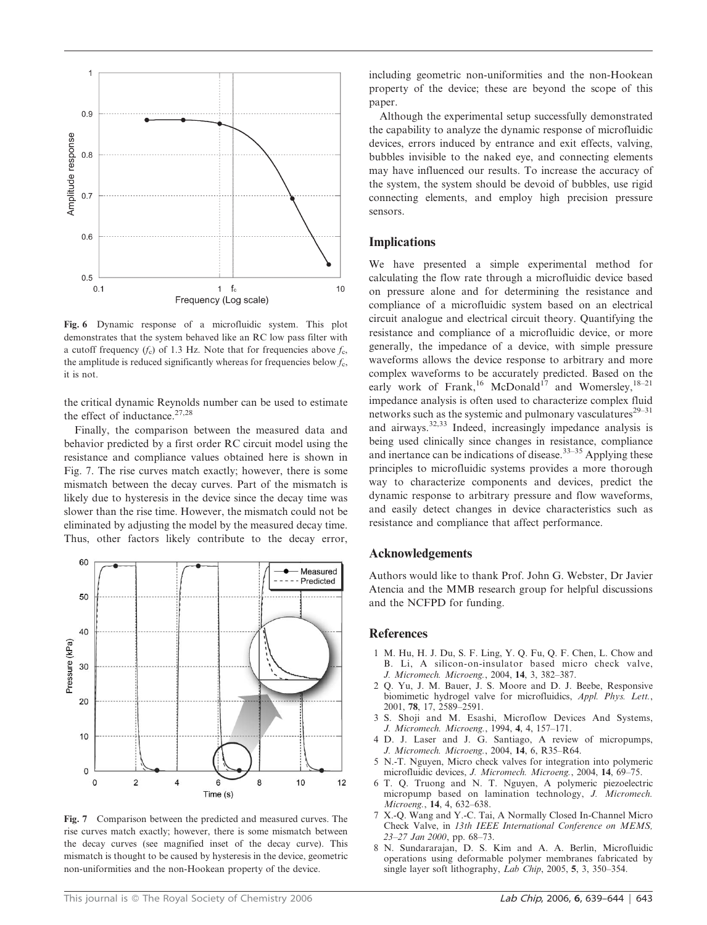

Fig. 6 Dynamic response of a microfluidic system. This plot demonstrates that the system behaved like an RC low pass filter with a cutoff frequency  $(f_c)$  of 1.3 Hz. Note that for frequencies above  $f_c$ , the amplitude is reduced significantly whereas for frequencies below  $f_c$ , it is not.

the critical dynamic Reynolds number can be used to estimate the effect of inductance.<sup>27,28</sup>

Finally, the comparison between the measured data and behavior predicted by a first order RC circuit model using the resistance and compliance values obtained here is shown in Fig. 7. The rise curves match exactly; however, there is some mismatch between the decay curves. Part of the mismatch is likely due to hysteresis in the device since the decay time was slower than the rise time. However, the mismatch could not be eliminated by adjusting the model by the measured decay time. Thus, other factors likely contribute to the decay error,



Fig. 7 Comparison between the predicted and measured curves. The rise curves match exactly; however, there is some mismatch between the decay curves (see magnified inset of the decay curve). This mismatch is thought to be caused by hysteresis in the device, geometric non-uniformities and the non-Hookean property of the device.

including geometric non-uniformities and the non-Hookean property of the device; these are beyond the scope of this paper.

Although the experimental setup successfully demonstrated the capability to analyze the dynamic response of microfluidic devices, errors induced by entrance and exit effects, valving, bubbles invisible to the naked eye, and connecting elements may have influenced our results. To increase the accuracy of the system, the system should be devoid of bubbles, use rigid connecting elements, and employ high precision pressure sensors.

### Implications

We have presented a simple experimental method for calculating the flow rate through a microfluidic device based on pressure alone and for determining the resistance and compliance of a microfluidic system based on an electrical circuit analogue and electrical circuit theory. Quantifying the resistance and compliance of a microfluidic device, or more generally, the impedance of a device, with simple pressure waveforms allows the device response to arbitrary and more complex waveforms to be accurately predicted. Based on the early work of Frank,<sup>16</sup> McDonald<sup>17</sup> and Womersley,<sup>18-21</sup> impedance analysis is often used to characterize complex fluid networks such as the systemic and pulmonary vasculatures $2^{9-31}$ and airways.32,33 Indeed, increasingly impedance analysis is being used clinically since changes in resistance, compliance and inertance can be indications of disease.33–35 Applying these principles to microfluidic systems provides a more thorough way to characterize components and devices, predict the dynamic response to arbitrary pressure and flow waveforms, and easily detect changes in device characteristics such as resistance and compliance that affect performance.

#### Acknowledgements

Authors would like to thank Prof. John G. Webster, Dr Javier Atencia and the MMB research group for helpful discussions and the NCFPD for funding.

#### References

- 1 M. Hu, H. J. Du, S. F. Ling, Y. Q. Fu, Q. F. Chen, L. Chow and B. Li, A silicon-on-insulator based micro check valve, J. Micromech. Microeng., 2004, 14, 3, 382–387.
- 2 Q. Yu, J. M. Bauer, J. S. Moore and D. J. Beebe, Responsive biomimetic hydrogel valve for microfluidics, Appl. Phys. Lett., 2001, 78, 17, 2589–2591.
- 3 S. Shoji and M. Esashi, Microflow Devices And Systems, J. Micromech. Microeng., 1994, 4, 4, 157–171.
- 4 D. J. Laser and J. G. Santiago, A review of micropumps, J. Micromech. Microeng., 2004, 14, 6, R35–R64.
- 5 N.-T. Nguyen, Micro check valves for integration into polymeric microfluidic devices, J. Micromech. Microeng., 2004, 14, 69–75.
- 6 T. Q. Truong and N. T. Nguyen, A polymeric piezoelectric micropump based on lamination technology, J. Micromech. Microeng., 14, 4, 632–638.
- 7 X.-Q. Wang and Y.-C. Tai, A Normally Closed In-Channel Micro Check Valve, in 13th IEEE International Conference on MEMS, 23–27 Jan 2000, pp. 68–73.
- 8 N. Sundararajan, D. S. Kim and A. A. Berlin, Microfluidic operations using deformable polymer membranes fabricated by single layer soft lithography, *Lab Chip*, 2005, 5, 3, 350–354.